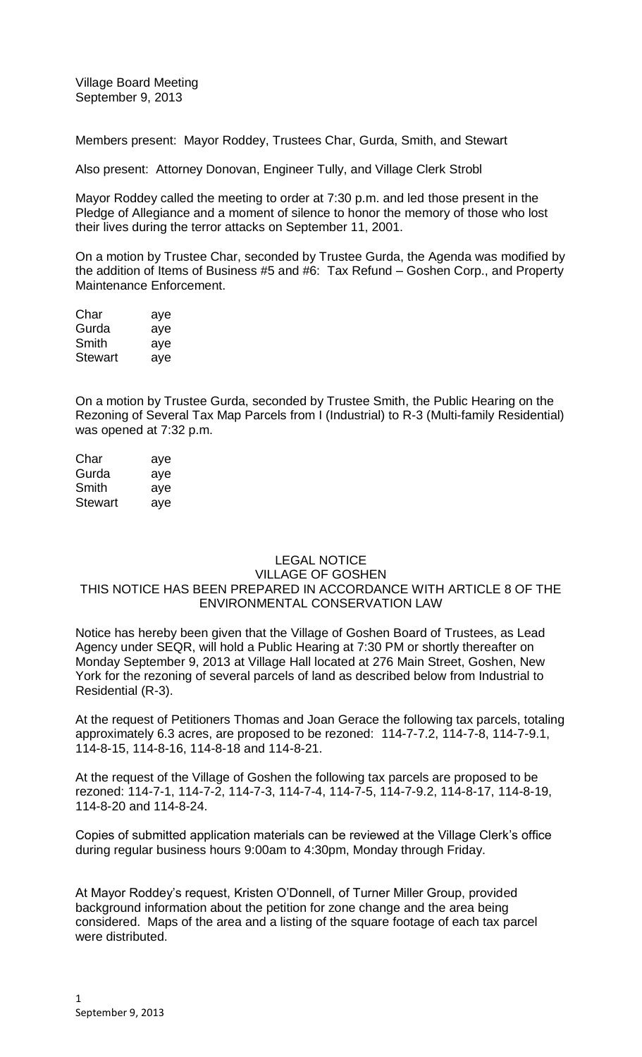Village Board Meeting September 9, 2013

Members present: Mayor Roddey, Trustees Char, Gurda, Smith, and Stewart

Also present: Attorney Donovan, Engineer Tully, and Village Clerk Strobl

Mayor Roddey called the meeting to order at 7:30 p.m. and led those present in the Pledge of Allegiance and a moment of silence to honor the memory of those who lost their lives during the terror attacks on September 11, 2001.

On a motion by Trustee Char, seconded by Trustee Gurda, the Agenda was modified by the addition of Items of Business #5 and #6: Tax Refund – Goshen Corp., and Property Maintenance Enforcement.

| Char    | aye |
|---------|-----|
| Gurda   | aye |
| Smith   | aye |
| Stewart | aye |

On a motion by Trustee Gurda, seconded by Trustee Smith, the Public Hearing on the Rezoning of Several Tax Map Parcels from I (Industrial) to R-3 (Multi-family Residential) was opened at 7:32 p.m.

| Char    | aye |
|---------|-----|
| Gurda   | aye |
| Smith   | aye |
| Stewart | aye |

# LEGAL NOTICE VILLAGE OF GOSHEN THIS NOTICE HAS BEEN PREPARED IN ACCORDANCE WITH ARTICLE 8 OF THE ENVIRONMENTAL CONSERVATION LAW

Notice has hereby been given that the Village of Goshen Board of Trustees, as Lead Agency under SEQR, will hold a Public Hearing at 7:30 PM or shortly thereafter on Monday September 9, 2013 at Village Hall located at 276 Main Street, Goshen, New York for the rezoning of several parcels of land as described below from Industrial to Residential (R-3).

At the request of Petitioners Thomas and Joan Gerace the following tax parcels, totaling approximately 6.3 acres, are proposed to be rezoned: 114-7-7.2, 114-7-8, 114-7-9.1, 114-8-15, 114-8-16, 114-8-18 and 114-8-21.

At the request of the Village of Goshen the following tax parcels are proposed to be rezoned: 114-7-1, 114-7-2, 114-7-3, 114-7-4, 114-7-5, 114-7-9.2, 114-8-17, 114-8-19, 114-8-20 and 114-8-24.

Copies of submitted application materials can be reviewed at the Village Clerk's office during regular business hours 9:00am to 4:30pm, Monday through Friday.

At Mayor Roddey's request, Kristen O'Donnell, of Turner Miller Group, provided background information about the petition for zone change and the area being considered. Maps of the area and a listing of the square footage of each tax parcel were distributed.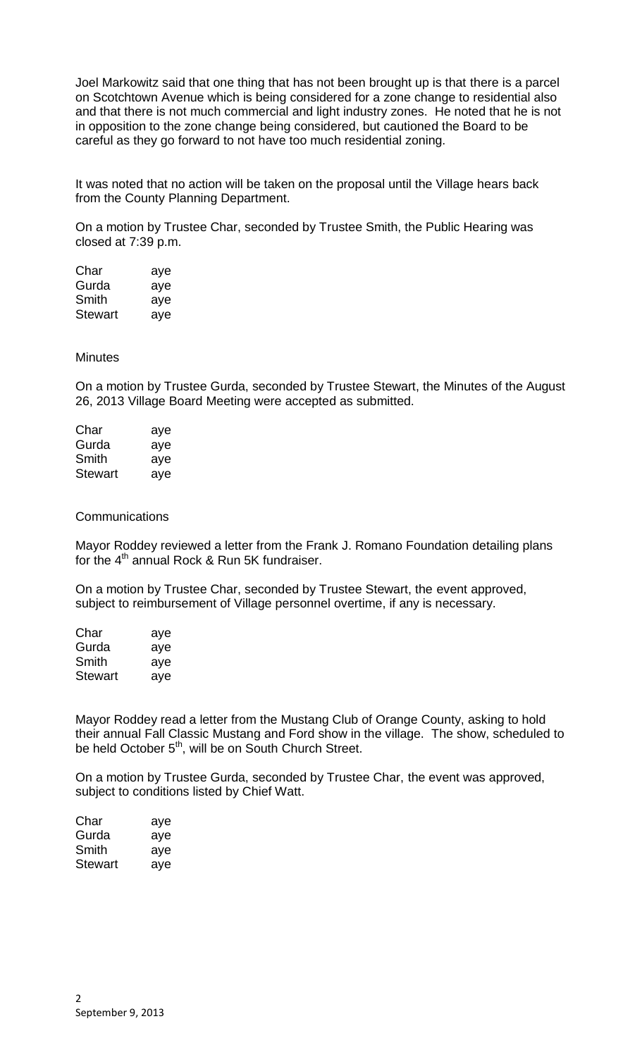Joel Markowitz said that one thing that has not been brought up is that there is a parcel on Scotchtown Avenue which is being considered for a zone change to residential also and that there is not much commercial and light industry zones. He noted that he is not in opposition to the zone change being considered, but cautioned the Board to be careful as they go forward to not have too much residential zoning.

It was noted that no action will be taken on the proposal until the Village hears back from the County Planning Department.

On a motion by Trustee Char, seconded by Trustee Smith, the Public Hearing was closed at 7:39 p.m.

| Char           | aye |
|----------------|-----|
| Gurda          | aye |
| Smith          | aye |
| <b>Stewart</b> | aye |

## Minutes

On a motion by Trustee Gurda, seconded by Trustee Stewart, the Minutes of the August 26, 2013 Village Board Meeting were accepted as submitted.

| Char           | aye |
|----------------|-----|
| Gurda          | aye |
| Smith          | aye |
| <b>Stewart</b> | aye |

### **Communications**

Mayor Roddey reviewed a letter from the Frank J. Romano Foundation detailing plans for the  $4<sup>th</sup>$  annual Rock & Run 5K fundraiser.

On a motion by Trustee Char, seconded by Trustee Stewart, the event approved, subject to reimbursement of Village personnel overtime, if any is necessary.

| Char    | aye |
|---------|-----|
| Gurda   | aye |
| Smith   | aye |
| Stewart | aye |

Mayor Roddey read a letter from the Mustang Club of Orange County, asking to hold their annual Fall Classic Mustang and Ford show in the village. The show, scheduled to be held October 5<sup>th</sup>, will be on South Church Street.

On a motion by Trustee Gurda, seconded by Trustee Char, the event was approved, subject to conditions listed by Chief Watt.

| Char    | aye |
|---------|-----|
| Gurda   | aye |
| Smith   | aye |
| Stewart | aye |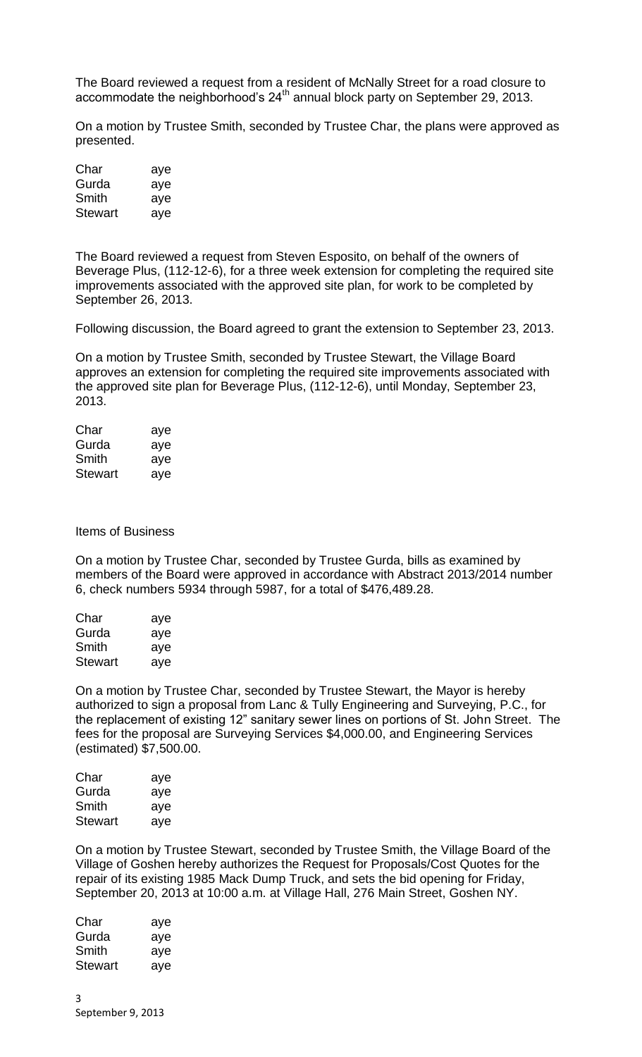The Board reviewed a request from a resident of McNally Street for a road closure to accommodate the neighborhood's 24<sup>th</sup> annual block party on September 29, 2013.

On a motion by Trustee Smith, seconded by Trustee Char, the plans were approved as presented.

| Char           | aye |
|----------------|-----|
| Gurda          | aye |
| Smith          | aye |
| <b>Stewart</b> | aye |

The Board reviewed a request from Steven Esposito, on behalf of the owners of Beverage Plus, (112-12-6), for a three week extension for completing the required site improvements associated with the approved site plan, for work to be completed by September 26, 2013.

Following discussion, the Board agreed to grant the extension to September 23, 2013.

On a motion by Trustee Smith, seconded by Trustee Stewart, the Village Board approves an extension for completing the required site improvements associated with the approved site plan for Beverage Plus, (112-12-6), until Monday, September 23, 2013.

| Char           | aye |
|----------------|-----|
| Gurda          | aye |
| Smith          | aye |
| <b>Stewart</b> | aye |

#### Items of Business

On a motion by Trustee Char, seconded by Trustee Gurda, bills as examined by members of the Board were approved in accordance with Abstract 2013/2014 number 6, check numbers 5934 through 5987, for a total of \$476,489.28.

| Char           | aye |
|----------------|-----|
| Gurda          | aye |
| Smith          | aye |
| <b>Stewart</b> | aye |

On a motion by Trustee Char, seconded by Trustee Stewart, the Mayor is hereby authorized to sign a proposal from Lanc & Tully Engineering and Surveying, P.C., for the replacement of existing 12" sanitary sewer lines on portions of St. John Street. The fees for the proposal are Surveying Services \$4,000.00, and Engineering Services (estimated) \$7,500.00.

| Char           | aye |
|----------------|-----|
| Gurda          | aye |
| Smith          | aye |
| <b>Stewart</b> | aye |

On a motion by Trustee Stewart, seconded by Trustee Smith, the Village Board of the Village of Goshen hereby authorizes the Request for Proposals/Cost Quotes for the repair of its existing 1985 Mack Dump Truck, and sets the bid opening for Friday, September 20, 2013 at 10:00 a.m. at Village Hall, 276 Main Street, Goshen NY.

| Char    | aye |
|---------|-----|
| Gurda   | aye |
| Smith   | aye |
| Stewart | aye |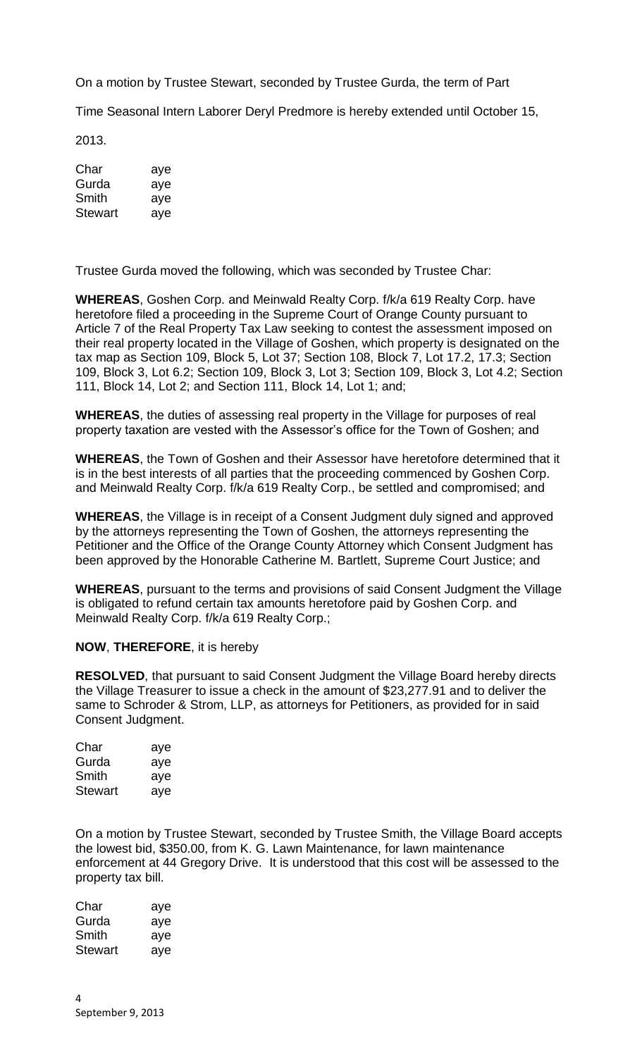On a motion by Trustee Stewart, seconded by Trustee Gurda, the term of Part

Time Seasonal Intern Laborer Deryl Predmore is hereby extended until October 15,

2013.

| Char           | aye |
|----------------|-----|
| Gurda          | aye |
| Smith          | aye |
| <b>Stewart</b> | aye |

Trustee Gurda moved the following, which was seconded by Trustee Char:

**WHEREAS**, Goshen Corp. and Meinwald Realty Corp. f/k/a 619 Realty Corp. have heretofore filed a proceeding in the Supreme Court of Orange County pursuant to Article 7 of the Real Property Tax Law seeking to contest the assessment imposed on their real property located in the Village of Goshen, which property is designated on the tax map as Section 109, Block 5, Lot 37; Section 108, Block 7, Lot 17.2, 17.3; Section 109, Block 3, Lot 6.2; Section 109, Block 3, Lot 3; Section 109, Block 3, Lot 4.2; Section 111, Block 14, Lot 2; and Section 111, Block 14, Lot 1; and;

**WHEREAS**, the duties of assessing real property in the Village for purposes of real property taxation are vested with the Assessor's office for the Town of Goshen; and

**WHEREAS**, the Town of Goshen and their Assessor have heretofore determined that it is in the best interests of all parties that the proceeding commenced by Goshen Corp. and Meinwald Realty Corp. f/k/a 619 Realty Corp., be settled and compromised; and

**WHEREAS**, the Village is in receipt of a Consent Judgment duly signed and approved by the attorneys representing the Town of Goshen, the attorneys representing the Petitioner and the Office of the Orange County Attorney which Consent Judgment has been approved by the Honorable Catherine M. Bartlett, Supreme Court Justice; and

**WHEREAS**, pursuant to the terms and provisions of said Consent Judgment the Village is obligated to refund certain tax amounts heretofore paid by Goshen Corp. and Meinwald Realty Corp. f/k/a 619 Realty Corp.;

**NOW**, **THEREFORE**, it is hereby

**RESOLVED**, that pursuant to said Consent Judgment the Village Board hereby directs the Village Treasurer to issue a check in the amount of \$23,277.91 and to deliver the same to Schroder & Strom, LLP, as attorneys for Petitioners, as provided for in said Consent Judgment.

| Char           | aye |
|----------------|-----|
| Gurda          | aye |
| Smith          | aye |
| <b>Stewart</b> | aye |

On a motion by Trustee Stewart, seconded by Trustee Smith, the Village Board accepts the lowest bid, \$350.00, from K. G. Lawn Maintenance, for lawn maintenance enforcement at 44 Gregory Drive. It is understood that this cost will be assessed to the property tax bill.

Char aye Gurda aye Smith aye Stewart aye